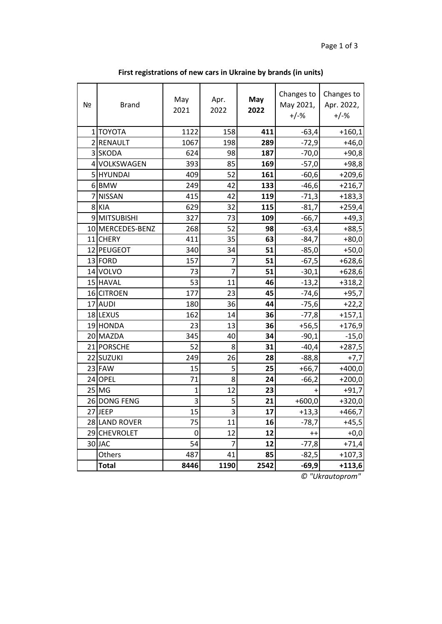| Nº             | <b>Brand</b>     | May<br>2021 | Apr.<br>2022 | May<br>2022 | Changes to<br>May 2021,<br>$+/-%$ | Changes to<br>Apr. 2022,<br>$+/-%$ |
|----------------|------------------|-------------|--------------|-------------|-----------------------------------|------------------------------------|
|                | 1 TOYOTA         | 1122        | 158          | 411         | $-63,4$                           | $+160,1$                           |
|                | 2 RENAULT        | 1067        | 198          | 289         | $-72,9$                           | $+46,0$                            |
|                | 3 SKODA          | 624         | 98           | 187         | $-70,0$                           | $+90,8$                            |
|                | 4 VOLKSWAGEN     | 393         | 85           | 169         | $-57,0$                           | $+98,8$                            |
|                | 5 HYUNDAI        | 409         | 52           | 161         | $-60,6$                           | $+209,6$                           |
|                | 6BMW             | 249         | 42           | 133         | $-46,6$                           | $+216,7$                           |
| $\overline{7}$ | <b>NISSAN</b>    | 415         | 42           | 119         | $-71,3$                           | $+183,3$                           |
|                | 8 KIA            | 629         | 32           | 115         | $-81,7$                           | $+259,4$                           |
|                | 9 MITSUBISHI     | 327         | 73           | 109         | $-66,7$                           | $+49,3$                            |
|                | 10 MERCEDES-BENZ | 268         | 52           | 98          | $-63,4$                           | $+88,5$                            |
|                | 11 CHERY         | 411         | 35           | 63          | $-84,7$                           | $+80,0$                            |
|                | 12 PEUGEOT       | 340         | 34           | 51          | $-85,0$                           | $+50,0$                            |
|                | 13 FORD          | 157         | 7            | 51          | $-67,5$                           | $+628,6$                           |
|                | 14 VOLVO         | 73          | 7            | 51          | $-30,1$                           | $+628,6$                           |
|                | 15 HAVAL         | 53          | 11           | 46          | $-13,2$                           | $+318,2$                           |
|                | 16 CITROEN       | 177         | 23           | 45          | $-74,6$                           | $+95,7$                            |
|                | 17 AUDI          | 180         | 36           | 44          | $-75,6$                           | $+22,2$                            |
|                | 18 LEXUS         | 162         | 14           | 36          | $-77,8$                           | $+157,1$                           |
|                | 19 HONDA         | 23          | 13           | 36          | $+56,5$                           | $+176,9$                           |
|                | 20 MAZDA         | 345         | 40           | 34          | $-90,1$                           | $-15,0$                            |
|                | 21 PORSCHE       | 52          | 8            | 31          | $-40,4$                           | $+287,5$                           |
|                | 22 SUZUKI        | 249         | 26           | 28          | $-88,8$                           | $+7,7$                             |
|                | 23 FAW           | 15          | 5            | 25          | $+66,7$                           | $+400,0$                           |
|                | 24 OPEL          | 71          | 8            | 24          | $-66,2$                           | $+200,0$                           |
|                | $25$ MG          | 1           | 12           | 23          | $\ddot{}$                         | $+91,7$                            |
|                | 26 DONG FENG     | 3           | 5            | 21          | $+600,0$                          | $+320,0$                           |
|                | 27JEEP           | 15          | 3            | 17          | $+13,3$                           | $+466,7$                           |
|                | 28 LAND ROVER    | 75          | 11           | 16          | $-78,7$                           | $+45,5$                            |
|                | 29 CHEVROLET     | 0           | 12           | 12          | $++$                              | $+0,0$                             |
|                | 30JAC            | 54          | 7            | 12          | $-77,8$                           | $+71,4$                            |
|                | Others           | 487         | 41           | 85          | $-82,5$                           | $+107,3$                           |
|                | <b>Total</b>     | 8446        | 1190         | 2542        | $-69,9$                           | $+113,6$                           |

**First registrations of new cars in Ukraine by brands (in units)**

*© "Ukrautoprom"*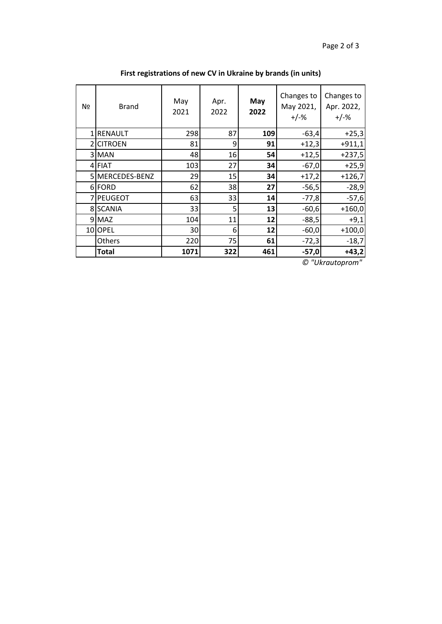| Nº             | <b>Brand</b>    | May<br>2021 | Apr.<br>2022 | May<br>2022 | Changes to<br>May 2021,<br>$+/-%$ | Changes to<br>Apr. 2022,<br>$+/-%$ |
|----------------|-----------------|-------------|--------------|-------------|-----------------------------------|------------------------------------|
|                | <b>RENAULT</b>  | 298         | 87           | 109         | $-63,4$                           | $+25,3$                            |
| $\overline{2}$ | <b>CITROEN</b>  | 81          | 9            | 91          | $+12,3$                           | $+911,1$                           |
|                | 3 MAN           | 48          | 16           | 54          | $+12,5$                           | $+237,5$                           |
|                | 4 FIAT          | 103         | 27           | 34          | $-67,0$                           | $+25,9$                            |
|                | 5 MERCEDES-BENZ | 29          | 15           | 34          | $+17,2$                           | $+126,7$                           |
|                | 6 FORD          | 62          | 38           | 27          | $-56,5$                           | $-28,9$                            |
|                | 7 PEUGEOT       | 63          | 33           | 14          | $-77,8$                           | $-57,6$                            |
|                | 8 SCANIA        | 33          | 5            | 13          | $-60,6$                           | $+160,0$                           |
|                | 9 MAZ           | 104         | 11           | 12          | $-88,5$                           | $+9,1$                             |
|                | 10 OPEL         | 30          | 6            | 12          | $-60,0$                           | $+100,0$                           |
|                | Others          | 220         | 75           | 61          | $-72,3$                           | $-18,7$                            |
|                | Total           | 1071        | 322          | 461         | $-57,0$                           | $+43,2$                            |

**First registrations of new CV in Ukraine by brands (in units)**

*© "Ukrautoprom"*